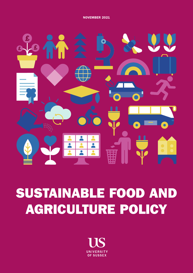

# SUSTAINABLE FOOD AND AGRICULTURE POLICY

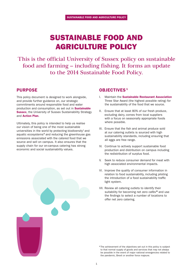# SUSTAINABLE FOOD AND AGRICULTURE POLICY

This is the official University of Sussex policy on sustainable food and farming – including fishing. It forms an update to the 2014 Sustainable Food Policy.

## PURPOSE

This policy document is designed to work alongside, and provide further guidance on, our strategic commitments around responsible food and water production and consumption, as set out in **Sustainable [Sussex](https://www.sussex.ac.uk/webteam/gateway/file.php?name=4904-sustainability-strategy-final-30june-2nd.pdf&site=271)**, the University of Sussex Sustainability Strategy and **[Action Plan](https://www.sussex.ac.uk/webteam/gateway/file.php?name=4904-sustainability-strategy-action-plan1st.pdf&site=271).** 

Ultimately, this policy is intended to help us realise our vision of being one of the most sustainable universities in the world by protecting biodiversity' and aquatic ecosystems<sup>ii</sup> and reducing the greenhouse gas emissions associated with the catered food that we source and sell on campus. It also ensures that the supply chain for our on-campus catering has strong economic and social sustainability values.

## **OBJECTIVES<sup>1</sup>**

- I. Maintain the [Sustainable Restaurant Association](https://thesra.org/) Three Star Award (the highest possible rating) for the sustainability of the food that we source.
- II. Ensure that at least 80% of our fresh produce, excluding dairy, comes from local suppliers with a focus on seasonally appropriate foods where possible.
- III. Ensure that the fish and animal produce sold at our catering outlets is sourced with high sustainability standards, including ensuring that all eggs are free range.
- IV. Continue to actively support sustainable food production and distribution on campus including the redistribution of surplus food.
- V. Seek to reduce consumer demand for meat with high associated environmental impacts.
- VI. Improve the quality of consumer information in relation to food sustainability, including piloting the introduction of a food sustainability traffic light system.
- VII. Review all catering outlets to identify their suitability for becoming net zero cafés<sup>ii</sup> and use the findings to select a number of locations to offer net zero catering.

<sup>&</sup>lt;sup>1</sup>The achievement of the objectives set out in this policy is subject to that normal supply of goods and services that may not always be possible in the event of major national emergencies related to the pandemic, Brexit or another force majeure.



1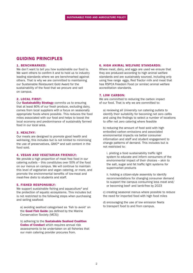# GUIDING PRINCIPLES

#### 1. BENCHMARKED:

We don't want to tell you how sustainable our food is. We want others to confirm it and to hold us to industry leading standards where we are benchmarked against others. That is why we are committed to maintaining our Sustainable Restaurant Gold Award for the sustainability of the food that we procure and sell on campus.

#### 2. LOCAL FIRST:

Our **[Sustainability Strategy](https://www.sussex.ac.uk/webteam/gateway/file.php?name=4904-sustainability-strategy-final-30june-2nd.pdf&site=271)** commits us to ensuring that at least 80% of our fresh produce, excluding dairy, comes from local suppliers with a focus on seasonally appropriate foods where possible. This reduces the food miles associated with our food and helps to boost the local economy and predominance of sustainably farmed food in our local area.

#### 3. HEALTHY:

Our meals are designed to promote good health and well-being, this includes but is not limited to minimising the use of preservatives, GMO<sup>N</sup> and salt content in the food sold.

#### 4. VEGAN AND VEGETARIAN FRIENDLY:

We provide a high proportion of meat free food in our catering outlets – this constitutes over 50% of the food on our menus on campus. We will continue to maintain this level of vegetarian and vegan catering, or more, and promote the environmental benefits of low-meat and meat-free diets to students and staff.

#### 5. FISHED RESPONSIBLY:

We support sustainable fishing and aquaculture<sup>v</sup> and the protection of aquatic ecosystems. This includes but is not restricted to the following steps when purchasing and selling seafood:

 a) avoiding seafood categorised as 'fish to avoid' on the [Good Fish Guide](https://www.mcsuk.org/goodfishguide/?page=1) (as defined by the Marine Conservation Society (MCS))

b) adhering to the **[Sustainable Seafood Coalition](https://www.sustainableseafoodcoalition.org/)** Codes of Conduct which requires annual risk assessments to be undertaken on all fisheries that our main catering provider procures from.

#### 6. HIGH ANIMAL WELFARE STANDARDS:

Where meat, dairy, and eggs are used we ensure that they are produced according to high animal welfare standards and are sustainably sourced, including only using free range eggs, Red Tractor milk and meat that has RSPCA Freedom Food (or similar) animal welfare accreditation standards.

#### 7. LOW CARBON:

We are committed to reducing the carbon impact of our food. That is why we are committed to:

a) reviewing all University run catering outlets to identify their suitability for becoming net zero cafés and using the findings to select a number of locations to offer net zero catering where feasible

b) reducing the amount of food sold with high embodied carbon emissions and associated environmental impacts via better consumer information and staff and student engagement to change patterns of demand. This includes but is not restricted to:

i. piloting a food sustainability traffic light system to educate and inform consumers of the environmental impact of their choices – akin to the salt, sugar and fat traffic light systems for supermarket products

ii. holding a citizen-style assembly to identify recommendations for changing consumer demand to support the campus consuming less meat and/ or becoming beef- and lamb-free by 2023

c) creating seasonal menus where possible to reduce the need for imported food with high food miles

d) encouraging the use of low emission fleets to transport food to and from campus.